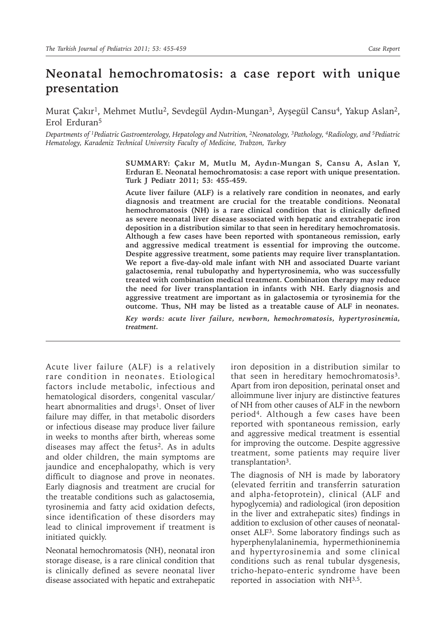## **Neonatal hemochromatosis: a case report with unique presentation**

Murat Çakır<sup>1</sup>, Mehmet Mutlu<sup>2</sup>, Sevdegül Aydın-Mungan<sup>3</sup>, Ayşegül Cansu<sup>4</sup>, Yakup Aslan<sup>2</sup>, Erol Erduran5

*Departments of 1Pediatric Gastroenterology, Hepatology and Nutrition, 2Neonatology, 3Pathology, 4Radiology, and 5Pediatric Hematology, Karadeniz Technical University Faculty of Medicine, Trabzon, Turkey*

> **SUMMARY: Çakır M, Mutlu M, Aydın-Mungan S, Cansu A, Aslan Y, Erduran E. Neonatal hemochromatosis: a case report with unique presentation. Turk J Pediatr 2011; 53: 455-459.**

> **Acute liver failure (ALF) is a relatively rare condition in neonates, and early diagnosis and treatment are crucial for the treatable conditions. Neonatal hemochromatosis (NH) is a rare clinical condition that is clinically defined as severe neonatal liver disease associated with hepatic and extrahepatic iron deposition in a distribution similar to that seen in hereditary hemochromatosis. Although a few cases have been reported with spontaneous remission, early and aggressive medical treatment is essential for improving the outcome. Despite aggressive treatment, some patients may require liver transplantation. We report a five-day-old male infant with NH and associated Duarte variant galactosemia, renal tubulopathy and hypertyrosinemia, who was successfully treated with combination medical treatment. Combination therapy may reduce the need for liver transplantation in infants with NH. Early diagnosis and aggressive treatment are important as in galactosemia or tyrosinemia for the outcome. Thus, NH may be listed as a treatable cause of ALF in neonates.** *Key words: acute liver failure, newborn, hemochromatosis, hypertyrosinemia,*

> *treatment.*

Acute liver failure (ALF) is a relatively rare condition in neonates. Etiological factors include metabolic, infectious and hematological disorders, congenital vascular/ heart abnormalities and drugs<sup>1</sup>. Onset of liver failure may differ, in that metabolic disorders or infectious disease may produce liver failure in weeks to months after birth, whereas some diseases may affect the fetus<sup>2</sup>. As in adults and older children, the main symptoms are jaundice and encephalopathy, which is very difficult to diagnose and prove in neonates. Early diagnosis and treatment are crucial for the treatable conditions such as galactosemia, tyrosinemia and fatty acid oxidation defects, since identification of these disorders may lead to clinical improvement if treatment is initiated quickly.

Neonatal hemochromatosis (NH), neonatal iron storage disease, is a rare clinical condition that is clinically defined as severe neonatal liver disease associated with hepatic and extrahepatic

iron deposition in a distribution similar to that seen in hereditary hemochromatosis<sup>3</sup>. Apart from iron deposition, perinatal onset and alloimmune liver injury are distinctive features of NH from other causes of ALF in the newborn period4. Although a few cases have been reported with spontaneous remission, early and aggressive medical treatment is essential for improving the outcome. Despite aggressive treatment, some patients may require liver transplantation<sup>3</sup>.

The diagnosis of NH is made by laboratory (elevated ferritin and transferrin saturation and alpha-fetoprotein), clinical (ALF and hypoglycemia) and radiological (iron deposition in the liver and extrahepatic sites) findings in addition to exclusion of other causes of neonatalonset ALF3. Some laboratory findings such as hyperphenylalaninemia, hypermethioninemia and hypertyrosinemia and some clinical conditions such as renal tubular dysgenesis, tricho-hepato-enteric syndrome have been reported in association with NH<sup>3,5</sup>.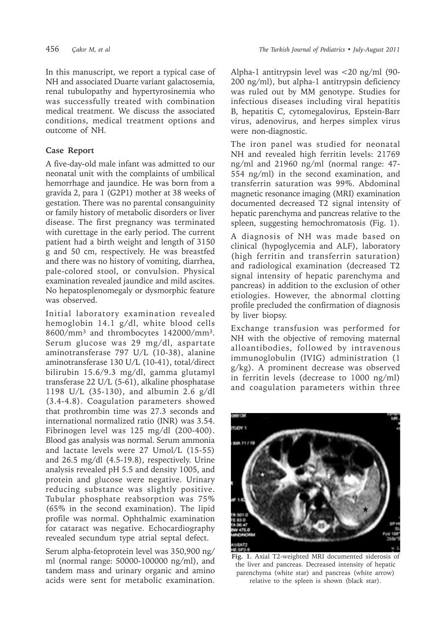In this manuscript, we report a typical case of NH and associated Duarte variant galactosemia, renal tubulopathy and hypertyrosinemia who was successfully treated with combination medical treatment. We discuss the associated conditions, medical treatment options and outcome of NH.

## **Case Report**

A five-day-old male infant was admitted to our neonatal unit with the complaints of umbilical hemorrhage and jaundice. He was born from a gravida 2, para 1 (G2P1) mother at 38 weeks of gestation. There was no parental consanguinity or family history of metabolic disorders or liver disease. The first pregnancy was terminated with curettage in the early period. The current patient had a birth weight and length of 3150 g and 50 cm, respectively. He was breastfed and there was no history of vomiting, diarrhea, pale-colored stool, or convulsion. Physical examination revealed jaundice and mild ascites. No hepatosplenomegaly or dysmorphic feature was observed.

Initial laboratory examination revealed hemoglobin 14.1 g/dl, white blood cells 8600/mm3 and thrombocytes 142000/mm3. Serum glucose was 29 mg/dl, aspartate aminotransferase 797 U/L (10-38), alanine aminotransferase 130 U/L (10-41), total/direct bilirubin 15.6/9.3 mg/dl, gamma glutamyl transferase 22 U/L (5-61), alkaline phosphatase 1198 U/L (35-130), and albumin 2.6 g/dl (3.4-4.8). Coagulation parameters showed that prothrombin time was 27.3 seconds and international normalized ratio (INR) was 3.54. Fibrinogen level was 125 mg/dl (200-400). Blood gas analysis was normal. Serum ammonia and lactate levels were 27 Umol/L (15-55) and 26.5 mg/dl (4.5-19.8), respectively. Urine analysis revealed pH 5.5 and density 1005, and protein and glucose were negative. Urinary reducing substance was slightly positive. Tubular phosphate reabsorption was 75% (65% in the second examination). The lipid profile was normal. Ophthalmic examination for cataract was negative. Echocardiography revealed secundum type atrial septal defect.

Serum alpha-fetoprotein level was 350,900 ng/ ml (normal range: 50000-100000 ng/ml), and tandem mass and urinary organic and amino acids were sent for metabolic examination.

Alpha-1 antitrypsin level was <20 ng/ml (90- 200 ng/ml), but alpha-1 antitrypsin deficiency was ruled out by MM genotype. Studies for infectious diseases including viral hepatitis B, hepatitis C, cytomegalovirus, Epstein-Barr virus, adenovirus, and herpes simplex virus were non-diagnostic.

The iron panel was studied for neonatal NH and revealed high ferritin levels: 21769 ng/ml and 21960 ng/ml (normal range: 47- 554 ng/ml) in the second examination, and transferrin saturation was 99%. Abdominal magnetic resonance imaging (MRI) examination documented decreased T2 signal intensity of hepatic parenchyma and pancreas relative to the spleen, suggesting hemochromatosis (Fig. 1).

A diagnosis of NH was made based on clinical (hypoglycemia and ALF), laboratory (high ferritin and transferrin saturation) and radiological examination (decreased T2 signal intensity of hepatic parenchyma and pancreas) in addition to the exclusion of other etiologies. However, the abnormal clotting profile precluded the confirmation of diagnosis by liver biopsy.

Exchange transfusion was performed for NH with the objective of removing maternal alloantibodies, followed by intravenous immunoglobulin (IVIG) administration (1 g/kg). A prominent decrease was observed in ferritin levels (decrease to 1000 ng/ml) and coagulation parameters within three



**Fig. 1.** Axial T2-weighted MRI documented siderosis of the liver and pancreas. Decreased intensity of hepatic parenchyma (white star) and pancreas (white arrow) relative to the spleen is shown (black star).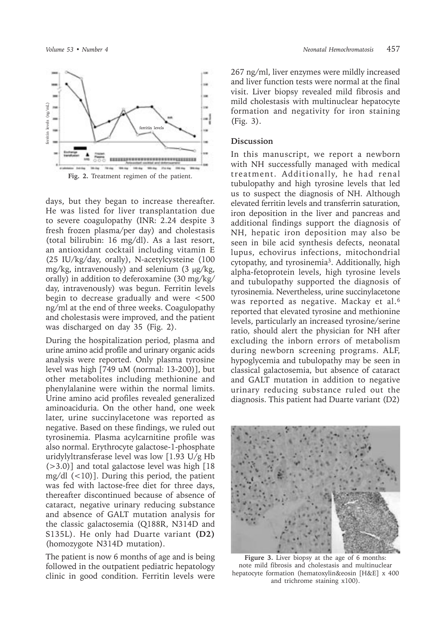

days, but they began to increase thereafter. He was listed for liver transplantation due to severe coagulopathy (INR: 2.24 despite 3 fresh frozen plasma/per day) and cholestasis (total bilirubin: 16 mg/dl). As a last resort, an antioxidant cocktail including vitamin E (25 IU/kg/day, orally), N-acetylcysteine (100 mg/kg, intravenously) and selenium (3 µg/kg, orally) in addition to deferoxamine (30 mg/kg/ day, intravenously) was begun. Ferritin levels begin to decrease gradually and were <500 ng/ml at the end of three weeks. Coagulopathy and cholestasis were improved, and the patient was discharged on day 35 (Fig. 2).

During the hospitalization period, plasma and urine amino acid profile and urinary organic acids analysis were reported. Only plasma tyrosine level was high [749 uM (normal: 13-200)], but other metabolites including methionine and phenylalanine were within the normal limits. Urine amino acid profiles revealed generalized aminoaciduria. On the other hand, one week later, urine succinylacetone was reported as negative. Based on these findings, we ruled out tyrosinemia. Plasma acylcarnitine profile was also normal. Erythrocyte galactose-1-phosphate uridylyltransferase level was low [1.93 U/g Hb (>3.0)] and total galactose level was high [18 mg/dl  $(<10)$ ]. During this period, the patient was fed with lactose-free diet for three days, thereafter discontinued because of absence of cataract, negative urinary reducing substance and absence of GALT mutation analysis for the classic galactosemia (Q188R, N314D and S135L). He only had Duarte variant **(D2)** (homozygote N314D mutation).

The patient is now 6 months of age and is being followed in the outpatient pediatric hepatology clinic in good condition. Ferritin levels were

267 ng/ml, liver enzymes were mildly increased and liver function tests were normal at the final visit. Liver biopsy revealed mild fibrosis and mild cholestasis with multinuclear hepatocyte formation and negativity for iron staining (Fig. 3).

## **Discussion**

In this manuscript, we report a newborn with NH successfully managed with medical treatment. Additionally, he had renal tubulopathy and high tyrosine levels that led us to suspect the diagnosis of NH. Although elevated ferritin levels and transferrin saturation, iron deposition in the liver and pancreas and additional findings support the diagnosis of NH, hepatic iron deposition may also be seen in bile acid synthesis defects, neonatal lupus, echovirus infections, mitochondrial cytopathy, and tyrosinemia3. Additionally, high alpha-fetoprotein levels, high tyrosine levels and tubulopathy supported the diagnosis of tyrosinemia. Nevertheless, urine succinylacetone was reported as negative. Mackay et al.6 reported that elevated tyrosine and methionine levels, particularly an increased tyrosine/serine ratio, should alert the physician for NH after excluding the inborn errors of metabolism during newborn screening programs. ALF, hypoglycemia and tubulopathy may be seen in classical galactosemia, but absence of cataract and GALT mutation in addition to negative urinary reducing substance ruled out the diagnosis. This patient had Duarte variant (D2)



**Figure 3.** Liver biopsy at the age of 6 months: note mild fibrosis and cholestasis and multinuclear hepatocyte formation (hematoxylin&eosin [H&E] x 400 and trichrome staining x100).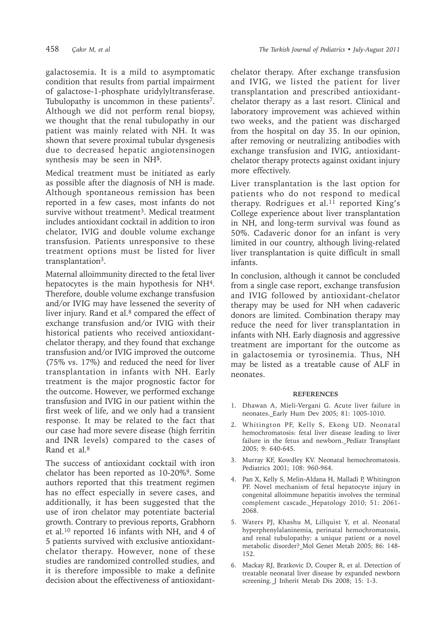galactosemia. It is a mild to asymptomatic condition that results from partial impairment of galactose-1-phosphate uridylyltransferase. Tubulopathy is uncommon in these patients<sup>7</sup>. Although we did not perform renal biopsy, we thought that the renal tubulopathy in our patient was mainly related with NH. It was shown that severe proximal tubular dysgenesis due to decreased hepatic angiotensinogen synthesis may be seen in NH**<sup>5</sup>**.

Medical treatment must be initiated as early as possible after the diagnosis of NH is made. Although spontaneous remission has been reported in a few cases, most infants do not survive without treatment<sup>3</sup>. Medical treatment includes antioxidant cocktail in addition to iron chelator, IVIG and double volume exchange transfusion. Patients unresponsive to these treatment options must be listed for liver transplantation<sup>3</sup>.

Maternal alloimmunity directed to the fetal liver hepatocytes is the main hypothesis for NH<sup>4</sup>. Therefore, double volume exchange transfusion and/or IVIG may have lessened the severity of liver injury. Rand et al. $8$  compared the effect of exchange transfusion and/or IVIG with their historical patients who received antioxidantchelator therapy, and they found that exchange transfusion and/or IVIG improved the outcome (75% vs. 17%) and reduced the need for liver transplantation in infants with NH. Early treatment is the major prognostic factor for the outcome. However, we performed exchange transfusion and IVIG in our patient within the first week of life, and we only had a transient response. It may be related to the fact that our case had more severe disease (high ferritin and INR levels) compared to the cases of Rand et al.<sup>8</sup>

The success of antioxidant cocktail with iron chelator has been reported as  $10-20\%$ <sup>9</sup>. Some authors reported that this treatment regimen has no effect especially in severe cases, and additionally, it has been suggested that the use of iron chelator may potentiate bacterial growth. Contrary to previous reports, Grabhorn et al.10 reported 16 infants with NH, and 4 of 5 patients survived with exclusive antioxidantchelator therapy. However, none of these studies are randomized controlled studies, and it is therefore impossible to make a definite decision about the effectiveness of antioxidantchelator therapy. After exchange transfusion and IVIG, we listed the patient for liver transplantation and prescribed antioxidantchelator therapy as a last resort. Clinical and laboratory improvement was achieved within two weeks, and the patient was discharged from the hospital on day 35. In our opinion, after removing or neutralizing antibodies with exchange transfusion and IVIG, antioxidantchelator therapy protects against oxidant injury more effectively.

Liver transplantation is the last option for patients who do not respond to medical therapy. Rodrigues et al. $^{11}$  reported King's College experience about liver transplantation in NH, and long-term survival was found as 50%. Cadaveric donor for an infant is very limited in our country, although living-related liver transplantation is quite difficult in small infants.

In conclusion, although it cannot be concluded from a single case report, exchange transfusion and IVIG followed by antioxidant-chelator therapy may be used for NH when cadaveric donors are limited. Combination therapy may reduce the need for liver transplantation in infants with NH. Early diagnosis and aggressive treatment are important for the outcome as in galactosemia or tyrosinemia. Thus, NH may be listed as a treatable cause of ALF in neonates.

## **REFERENCES**

- 1. Dhawan A, Mieli-Vergani G. Acute liver failure in neonates. Early Hum Dev 2005; 81: 1005-1010.
- 2. Whitington PF, Kelly S, Ekong UD. Neonatal hemochromatosis: fetal liver disease leading to liver failure in the fetus and newborn. Pediatr Transplant 2005; 9: 640-645.
- 3. Murray KF, Kowdley KV. Neonatal hemochromatosis. Pediatrics 2001; 108: 960-964.
- 4. Pan X, Kelly S, Melin-Aldana H, Malladi P, Whitington PF. Novel mechanism of fetal hepatocyte injury in congenital alloimmune hepatitis involves the terminal complement cascade. Hepatology 2010; 51: 2061- 2068.
- 5. Waters PJ, Khashu M, Lillquist Y, et al. Neonatal hyperphenylalaninemia, perinatal hemochromatosis, and renal tubulopathy: a unique patient or a novel metabolic disorder? Mol Genet Metab 2005; 86: 148- 152.
- 6. Mackay RJ, Bratkovic D, Couper R, et al. Detection of treatable neonatal liver disease by expanded newborn screening. J Inherit Metab Dis 2008; 15: 1-3.